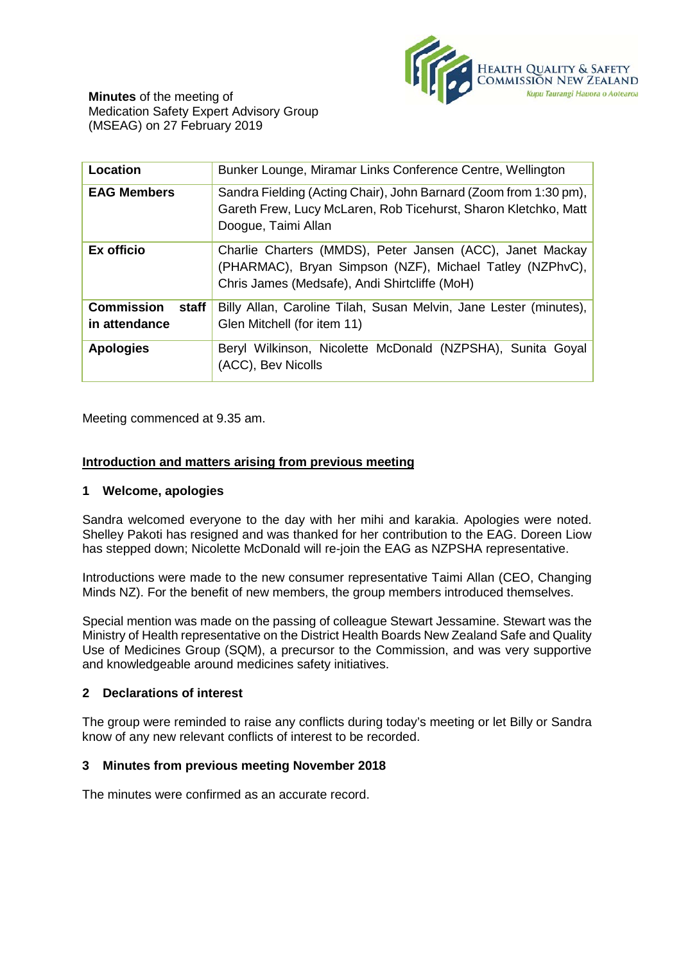

| <b>Location</b>                             | Bunker Lounge, Miramar Links Conference Centre, Wellington                                                                                                             |
|---------------------------------------------|------------------------------------------------------------------------------------------------------------------------------------------------------------------------|
| <b>EAG Members</b>                          | Sandra Fielding (Acting Chair), John Barnard (Zoom from 1:30 pm),<br>Gareth Frew, Lucy McLaren, Rob Ticehurst, Sharon Kletchko, Matt<br>Doogue, Taimi Allan            |
| Ex officio                                  | Charlie Charters (MMDS), Peter Jansen (ACC), Janet Mackay<br>(PHARMAC), Bryan Simpson (NZF), Michael Tatley (NZPhvC),<br>Chris James (Medsafe), Andi Shirtcliffe (MoH) |
| <b>Commission</b><br>staff<br>in attendance | Billy Allan, Caroline Tilah, Susan Melvin, Jane Lester (minutes),<br>Glen Mitchell (for item 11)                                                                       |
| <b>Apologies</b>                            | Beryl Wilkinson, Nicolette McDonald (NZPSHA), Sunita Goyal<br>(ACC), Bev Nicolls                                                                                       |

Meeting commenced at 9.35 am.

# **Introduction and matters arising from previous meeting**

### **1 Welcome, apologies**

Sandra welcomed everyone to the day with her mihi and karakia. Apologies were noted. Shelley Pakoti has resigned and was thanked for her contribution to the EAG. Doreen Liow has stepped down; Nicolette McDonald will re-join the EAG as NZPSHA representative.

Introductions were made to the new consumer representative Taimi Allan (CEO, Changing Minds NZ). For the benefit of new members, the group members introduced themselves.

Special mention was made on the passing of colleague Stewart Jessamine. Stewart was the Ministry of Health representative on the District Health Boards New Zealand Safe and Quality Use of Medicines Group (SQM), a precursor to the Commission, and was very supportive and knowledgeable around medicines safety initiatives.

# **2 Declarations of interest**

The group were reminded to raise any conflicts during today's meeting or let Billy or Sandra know of any new relevant conflicts of interest to be recorded.

# **3 Minutes from previous meeting November 2018**

The minutes were confirmed as an accurate record.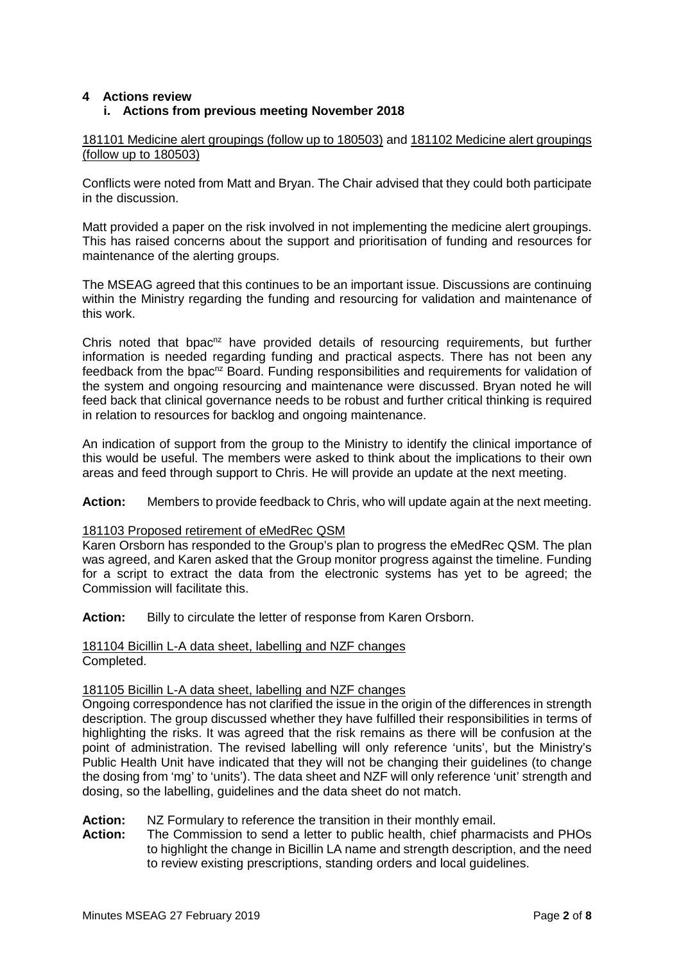# **4 Actions review**

# **i. Actions from previous meeting November 2018**

# 181101 Medicine alert groupings (follow up to 180503) and 181102 Medicine alert groupings (follow up to 180503)

Conflicts were noted from Matt and Bryan. The Chair advised that they could both participate in the discussion.

Matt provided a paper on the risk involved in not implementing the medicine alert groupings. This has raised concerns about the support and prioritisation of funding and resources for maintenance of the alerting groups.

The MSEAG agreed that this continues to be an important issue. Discussions are continuing within the Ministry regarding the funding and resourcing for validation and maintenance of this work.

Chris noted that bpac<sup>nz</sup> have provided details of resourcing requirements, but further information is needed regarding funding and practical aspects. There has not been any feedback from the bpac<sup>nz</sup> Board. Funding responsibilities and requirements for validation of the system and ongoing resourcing and maintenance were discussed. Bryan noted he will feed back that clinical governance needs to be robust and further critical thinking is required in relation to resources for backlog and ongoing maintenance.

An indication of support from the group to the Ministry to identify the clinical importance of this would be useful. The members were asked to think about the implications to their own areas and feed through support to Chris. He will provide an update at the next meeting.

**Action:** Members to provide feedback to Chris, who will update again at the next meeting.

### 181103 Proposed retirement of eMedRec QSM

Karen Orsborn has responded to the Group's plan to progress the eMedRec QSM. The plan was agreed, and Karen asked that the Group monitor progress against the timeline. Funding for a script to extract the data from the electronic systems has yet to be agreed; the Commission will facilitate this.

Action: Billy to circulate the letter of response from Karen Orsborn.

# 181104 Bicillin L-A data sheet, labelling and NZF changes Completed.

#### 181105 Bicillin L-A data sheet, labelling and NZF changes

Ongoing correspondence has not clarified the issue in the origin of the differences in strength description. The group discussed whether they have fulfilled their responsibilities in terms of highlighting the risks. It was agreed that the risk remains as there will be confusion at the point of administration. The revised labelling will only reference 'units', but the Ministry's Public Health Unit have indicated that they will not be changing their guidelines (to change the dosing from 'mg' to 'units'). The data sheet and NZF will only reference 'unit' strength and dosing, so the labelling, guidelines and the data sheet do not match.

# **Action:** NZ Formulary to reference the transition in their monthly email.<br>**Action:** The Commission to send a letter to public health, chief pharma

**Action:** The Commission to send a letter to public health, chief pharmacists and PHOs to highlight the change in Bicillin LA name and strength description, and the need to review existing prescriptions, standing orders and local guidelines.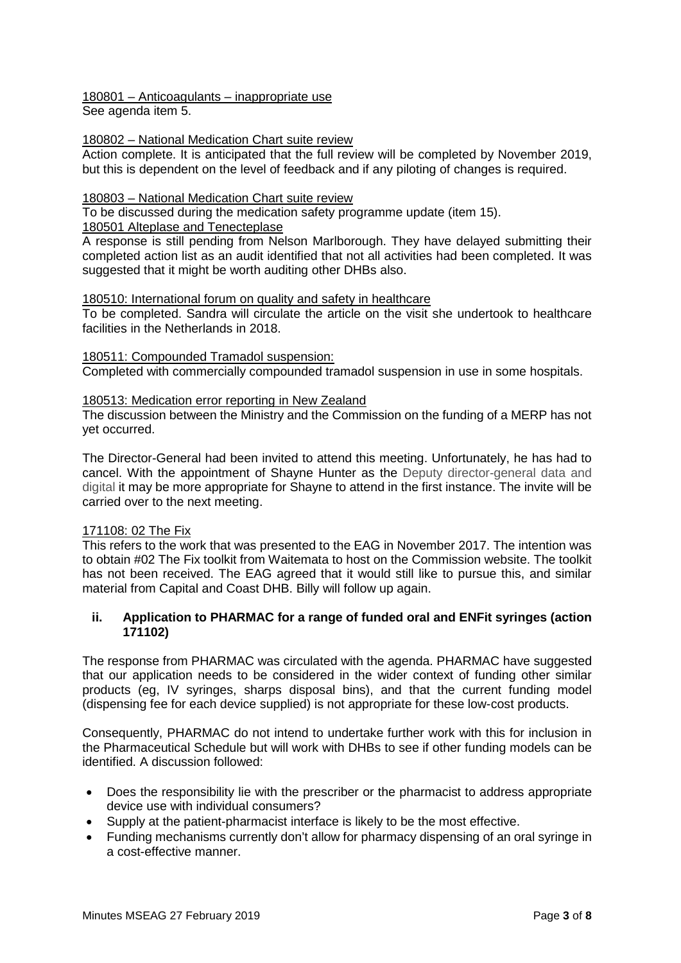# 180801 – Anticoagulants – inappropriate use

See agenda item 5.

# 180802 – National Medication Chart suite review

Action complete. It is anticipated that the full review will be completed by November 2019, but this is dependent on the level of feedback and if any piloting of changes is required.

# 180803 – National Medication Chart suite review

To be discussed during the medication safety programme update (item 15).

# 180501 Alteplase and Tenecteplase

A response is still pending from Nelson Marlborough. They have delayed submitting their completed action list as an audit identified that not all activities had been completed. It was suggested that it might be worth auditing other DHBs also.

# 180510: International forum on quality and safety in healthcare

To be completed. Sandra will circulate the article on the visit she undertook to healthcare facilities in the Netherlands in 2018.

# 180511: Compounded Tramadol suspension:

Completed with commercially compounded tramadol suspension in use in some hospitals.

# 180513: Medication error reporting in New Zealand

The discussion between the Ministry and the Commission on the funding of a MERP has not yet occurred.

The Director-General had been invited to attend this meeting. Unfortunately, he has had to cancel. With the appointment of Shayne Hunter as the Deputy director-general data and digital it may be more appropriate for Shayne to attend in the first instance. The invite will be carried over to the next meeting.

### 171108: 02 The Fix

This refers to the work that was presented to the EAG in November 2017. The intention was to obtain #02 The Fix toolkit from Waitemata to host on the Commission website. The toolkit has not been received. The EAG agreed that it would still like to pursue this, and similar material from Capital and Coast DHB. Billy will follow up again.

# **ii. Application to PHARMAC for a range of funded oral and ENFit syringes (action 171102)**

The response from PHARMAC was circulated with the agenda. PHARMAC have suggested that our application needs to be considered in the wider context of funding other similar products (eg, IV syringes, sharps disposal bins), and that the current funding model (dispensing fee for each device supplied) is not appropriate for these low-cost products.

Consequently, PHARMAC do not intend to undertake further work with this for inclusion in the Pharmaceutical Schedule but will work with DHBs to see if other funding models can be identified. A discussion followed:

- Does the responsibility lie with the prescriber or the pharmacist to address appropriate device use with individual consumers?
- Supply at the patient-pharmacist interface is likely to be the most effective.
- Funding mechanisms currently don't allow for pharmacy dispensing of an oral syringe in a cost-effective manner.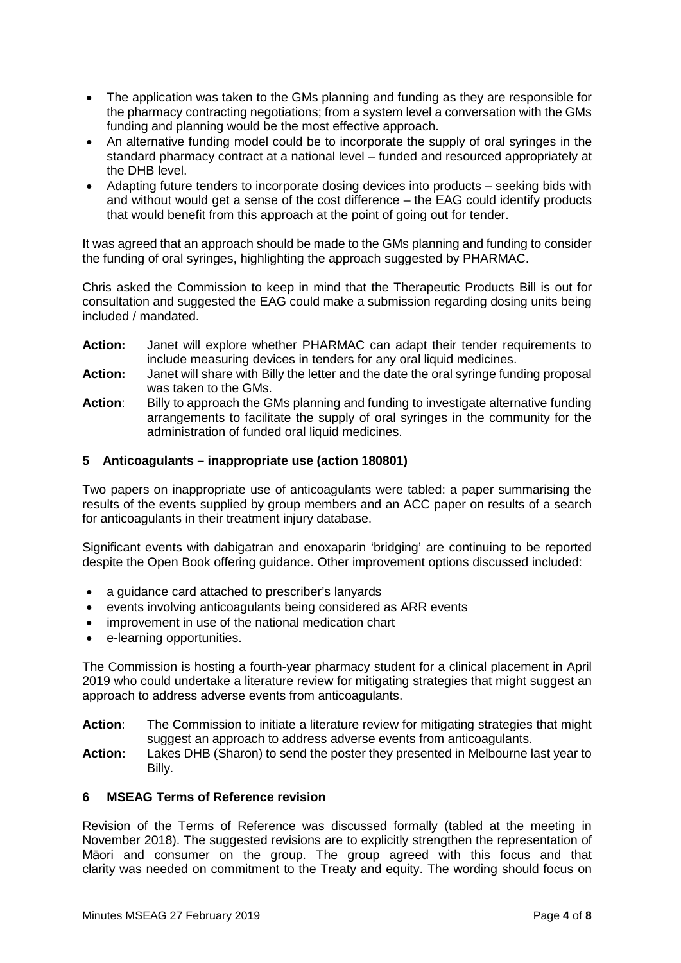- The application was taken to the GMs planning and funding as they are responsible for the pharmacy contracting negotiations; from a system level a conversation with the GMs funding and planning would be the most effective approach.
- An alternative funding model could be to incorporate the supply of oral syringes in the standard pharmacy contract at a national level – funded and resourced appropriately at the DHB level.
- Adapting future tenders to incorporate dosing devices into products seeking bids with and without would get a sense of the cost difference – the EAG could identify products that would benefit from this approach at the point of going out for tender.

It was agreed that an approach should be made to the GMs planning and funding to consider the funding of oral syringes, highlighting the approach suggested by PHARMAC.

Chris asked the Commission to keep in mind that the Therapeutic Products Bill is out for consultation and suggested the EAG could make a submission regarding dosing units being included / mandated.

- **Action:** Janet will explore whether PHARMAC can adapt their tender requirements to include measuring devices in tenders for any oral liquid medicines.
- **Action:** Janet will share with Billy the letter and the date the oral syringe funding proposal was taken to the GMs.
- Action: Billy to approach the GMs planning and funding to investigate alternative funding arrangements to facilitate the supply of oral syringes in the community for the administration of funded oral liquid medicines.

# **5 Anticoagulants – inappropriate use (action 180801)**

Two papers on inappropriate use of anticoagulants were tabled: a paper summarising the results of the events supplied by group members and an ACC paper on results of a search for anticoagulants in their treatment injury database.

Significant events with dabigatran and enoxaparin 'bridging' are continuing to be reported despite the Open Book offering guidance. Other improvement options discussed included:

- a guidance card attached to prescriber's lanyards
- events involving anticoagulants being considered as ARR events
- improvement in use of the national medication chart
- e-learning opportunities.

The Commission is hosting a fourth-year pharmacy student for a clinical placement in April 2019 who could undertake a literature review for mitigating strategies that might suggest an approach to address adverse events from anticoagulants.

- Action: The Commission to initiate a literature review for mitigating strategies that might suggest an approach to address adverse events from anticoagulants.
- **Action:** Lakes DHB (Sharon) to send the poster they presented in Melbourne last year to Billy.

### **6 MSEAG Terms of Reference revision**

Revision of the Terms of Reference was discussed formally (tabled at the meeting in November 2018). The suggested revisions are to explicitly strengthen the representation of Māori and consumer on the group. The group agreed with this focus and that clarity was needed on commitment to the Treaty and equity. The wording should focus on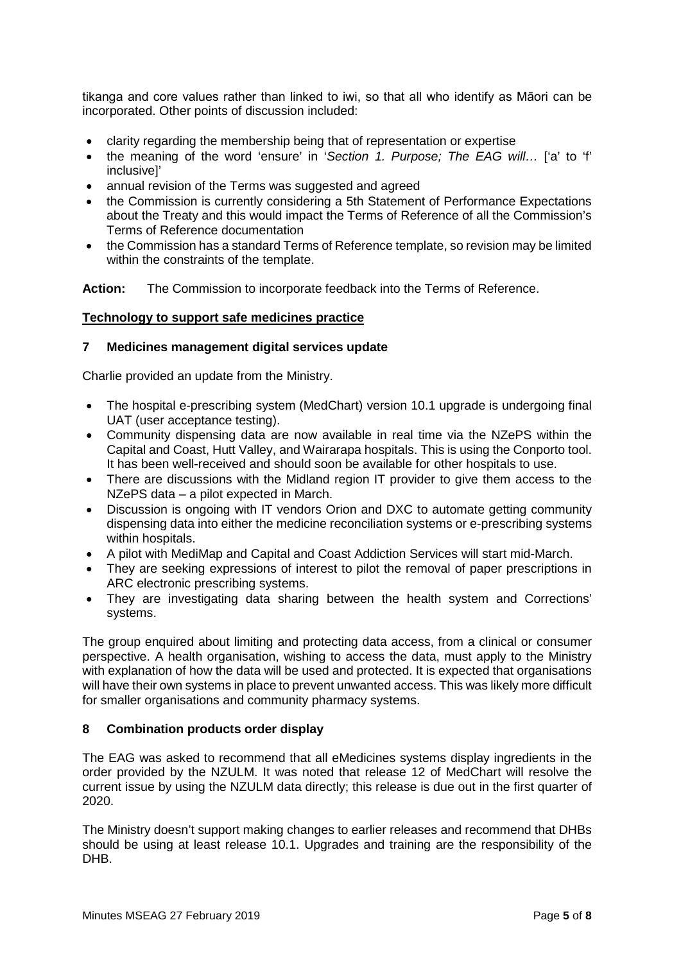tikanga and core values rather than linked to iwi, so that all who identify as Māori can be incorporated. Other points of discussion included:

- clarity regarding the membership being that of representation or expertise
- the meaning of the word 'ensure' in '*Section 1. Purpose; The EAG will…* ['a' to 'f' inclusive]'
- annual revision of the Terms was suggested and agreed
- the Commission is currently considering a 5th Statement of Performance Expectations about the Treaty and this would impact the Terms of Reference of all the Commission's Terms of Reference documentation
- the Commission has a standard Terms of Reference template, so revision may be limited within the constraints of the template.

**Action:** The Commission to incorporate feedback into the Terms of Reference.

### **Technology to support safe medicines practice**

### **7 Medicines management digital services update**

Charlie provided an update from the Ministry.

- The hospital e-prescribing system (MedChart) version 10.1 upgrade is undergoing final UAT (user acceptance testing).
- Community dispensing data are now available in real time via the NZePS within the Capital and Coast, Hutt Valley, and Wairarapa hospitals. This is using the Conporto tool. It has been well-received and should soon be available for other hospitals to use.
- There are discussions with the Midland region IT provider to give them access to the NZePS data – a pilot expected in March.
- Discussion is ongoing with IT vendors Orion and DXC to automate getting community dispensing data into either the medicine reconciliation systems or e-prescribing systems within hospitals.
- A pilot with MediMap and Capital and Coast Addiction Services will start mid-March.
- They are seeking expressions of interest to pilot the removal of paper prescriptions in ARC electronic prescribing systems.
- They are investigating data sharing between the health system and Corrections' systems.

The group enquired about limiting and protecting data access, from a clinical or consumer perspective. A health organisation, wishing to access the data, must apply to the Ministry with explanation of how the data will be used and protected. It is expected that organisations will have their own systems in place to prevent unwanted access. This was likely more difficult for smaller organisations and community pharmacy systems.

### **8 Combination products order display**

The EAG was asked to recommend that all eMedicines systems display ingredients in the order provided by the NZULM. It was noted that release 12 of MedChart will resolve the current issue by using the NZULM data directly; this release is due out in the first quarter of 2020.

The Ministry doesn't support making changes to earlier releases and recommend that DHBs should be using at least release 10.1. Upgrades and training are the responsibility of the DHB.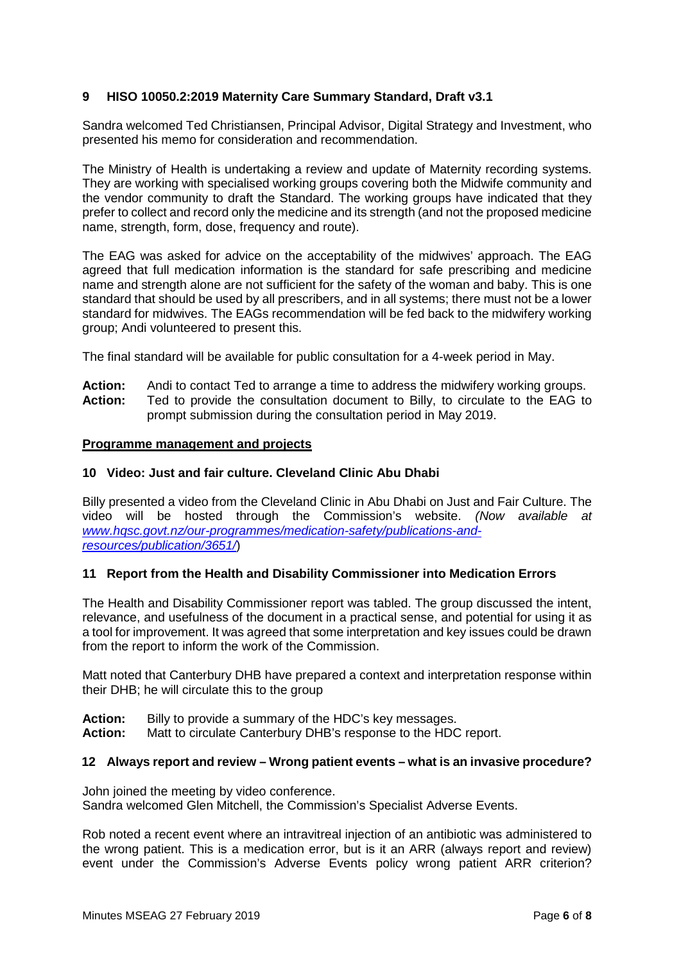# **9 HISO 10050.2:2019 Maternity Care Summary Standard, Draft v3.1**

Sandra welcomed Ted Christiansen, Principal Advisor, Digital Strategy and Investment, who presented his memo for consideration and recommendation.

The Ministry of Health is undertaking a review and update of Maternity recording systems. They are working with specialised working groups covering both the Midwife community and the vendor community to draft the Standard. The working groups have indicated that they prefer to collect and record only the medicine and its strength (and not the proposed medicine name, strength, form, dose, frequency and route).

The EAG was asked for advice on the acceptability of the midwives' approach. The EAG agreed that full medication information is the standard for safe prescribing and medicine name and strength alone are not sufficient for the safety of the woman and baby. This is one standard that should be used by all prescribers, and in all systems; there must not be a lower standard for midwives. The EAGs recommendation will be fed back to the midwifery working group; Andi volunteered to present this.

The final standard will be available for public consultation for a 4-week period in May.

Action: Andi to contact Ted to arrange a time to address the midwifery working groups.<br>**Action:** Ted to provide the consultation document to Billy, to circulate to the EAG to **Action:** Ted to provide the consultation document to Billy, to circulate to the EAG to prompt submission during the consultation period in May 2019.

### **Programme management and projects**

### **10 Video: Just and fair culture. Cleveland Clinic Abu Dhabi**

Billy presented a video from the Cleveland Clinic in Abu Dhabi on Just and Fair Culture. The video will be hosted through the Commission's website. *(Now available at [www.hqsc.govt.nz/our-programmes/medication-safety/publications-and](https://www.hqsc.govt.nz/our-programmes/medication-safety/publications-and-resources/publication/3651/)[resources/publication/3651/](https://www.hqsc.govt.nz/our-programmes/medication-safety/publications-and-resources/publication/3651/)*)

### **11 Report from the Health and Disability Commissioner into Medication Errors**

The Health and Disability Commissioner report was tabled. The group discussed the intent, relevance, and usefulness of the document in a practical sense, and potential for using it as a tool for improvement. It was agreed that some interpretation and key issues could be drawn from the report to inform the work of the Commission.

Matt noted that Canterbury DHB have prepared a context and interpretation response within their DHB; he will circulate this to the group

**Action:** Billy to provide a summary of the HDC's key messages.<br>**Action:** Matt to circulate Canterbury DHB's response to the HDC

**Action:** Matt to circulate Canterbury DHB's response to the HDC report.

### **12 Always report and review – Wrong patient events – what is an invasive procedure?**

John joined the meeting by video conference. Sandra welcomed Glen Mitchell, the Commission's Specialist Adverse Events.

Rob noted a recent event where an intravitreal injection of an antibiotic was administered to the wrong patient. This is a medication error, but is it an ARR (always report and review) event under the Commission's Adverse Events policy wrong patient ARR criterion?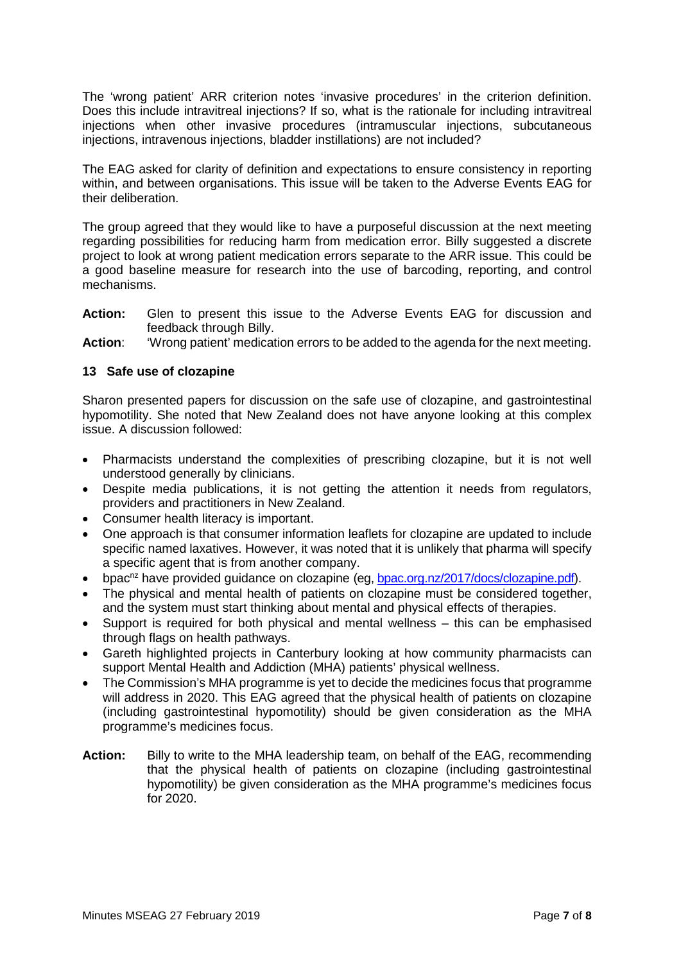The 'wrong patient' ARR criterion notes 'invasive procedures' in the criterion definition. Does this include intravitreal injections? If so, what is the rationale for including intravitreal injections when other invasive procedures (intramuscular injections, subcutaneous injections, intravenous injections, bladder instillations) are not included?

The EAG asked for clarity of definition and expectations to ensure consistency in reporting within, and between organisations. This issue will be taken to the Adverse Events EAG for their deliberation.

The group agreed that they would like to have a purposeful discussion at the next meeting regarding possibilities for reducing harm from medication error. Billy suggested a discrete project to look at wrong patient medication errors separate to the ARR issue. This could be a good baseline measure for research into the use of barcoding, reporting, and control mechanisms.

- **Action:** Glen to present this issue to the Adverse Events EAG for discussion and feedback through Billy.
- **Action**: 'Wrong patient' medication errors to be added to the agenda for the next meeting.

# **13 Safe use of clozapine**

Sharon presented papers for discussion on the safe use of clozapine, and gastrointestinal hypomotility. She noted that New Zealand does not have anyone looking at this complex issue. A discussion followed:

- Pharmacists understand the complexities of prescribing clozapine, but it is not well understood generally by clinicians.
- Despite media publications, it is not getting the attention it needs from regulators, providers and practitioners in New Zealand.
- Consumer health literacy is important.
- One approach is that consumer information leaflets for clozapine are updated to include specific named laxatives. However, it was noted that it is unlikely that pharma will specify a specific agent that is from another company.
- bpac<sup>nz</sup> have provided guidance on clozapine (eg, [bpac.org.nz/2017/docs/clozapine.pdf\)](https://bpac.org.nz/2017/docs/clozapine.pdf).
- The physical and mental health of patients on clozapine must be considered together, and the system must start thinking about mental and physical effects of therapies.
- Support is required for both physical and mental wellness this can be emphasised through flags on health pathways.
- Gareth highlighted projects in Canterbury looking at how community pharmacists can support Mental Health and Addiction (MHA) patients' physical wellness.
- The Commission's MHA programme is yet to decide the medicines focus that programme will address in 2020. This EAG agreed that the physical health of patients on clozapine (including gastrointestinal hypomotility) should be given consideration as the MHA programme's medicines focus.
- **Action:** Billy to write to the MHA leadership team, on behalf of the EAG, recommending that the physical health of patients on clozapine (including gastrointestinal hypomotility) be given consideration as the MHA programme's medicines focus for 2020.